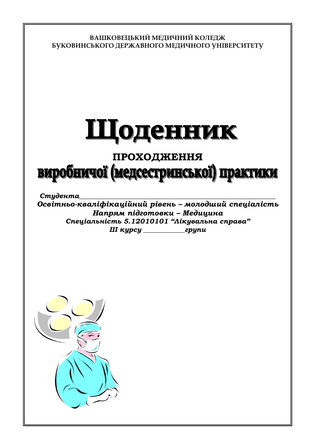БАШКОВЕЦЬКИЙ МЕДИЧНИЙ КОЛЕДЖ БУКОВИНСЬКОГО ДЕРЖАВНОГО МЕДИЧНОГО УНІВЕРСИТЕТУ

## Шоденник

# **проходження<br>Виробничої (медсестринської) практики**

Стидента

Освітньо-кваліфікаційний рівень - молодший спеціалість  $H$ апрям підготовки – Медицина Спеціальність 5.12010101 "Лікувальна справа" *ǥǥǥȘȡȞȟȡ \_\_\_\_\_\_\_\_\_\_\_\_ȑȞȡȝȖ*

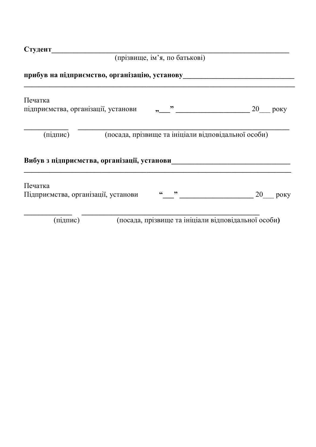| $\rightarrow$<br>гудент<br>$\sim$ $\blacksquare$ |
|--------------------------------------------------|
|--------------------------------------------------|

| (прізвище, ім'я, по батькові)                                                    |      |  |  |  |  |
|----------------------------------------------------------------------------------|------|--|--|--|--|
| прибув на підприємство, організацію, установу                                    |      |  |  |  |  |
| Печатка<br>підприємства, організації, установи<br>20<br>року                     |      |  |  |  |  |
| (посада, прізвище та ініціали відповідальної особи)<br>(підпис)                  |      |  |  |  |  |
| Вибув з підприємства, організації, установи                                      |      |  |  |  |  |
| Печатка<br>$\overline{\phantom{1}}$<br>Підприємства, організації, установи<br>20 | poky |  |  |  |  |
| (посада, прізвище та ініціали відповідальної особи)<br>(підпис)                  |      |  |  |  |  |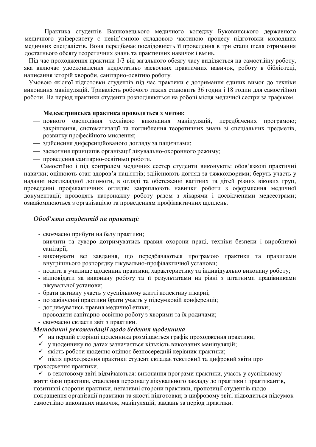Практика студентів Вашковецького медичного коледжу Буковинського державного медичного університету є невід'ємною складовою частиною процесу підготовки молодших медичних спеціалістів. Вона передбачає послідовність її проведення в три етапи після отримання достатнього обсягу теоретичних знань та практичних навичок і вмінь.

Під час проходження практики 1/3 від загального обсягу часу виділяється на самостійну роботу, яка включає удосконалення недостатньо засвоєних практичних навичок, роботу в бібліотеці, написання історій хвороби, санітарно-освітню роботу.

Умовою якісної підготовки студентів під час практики є дотримання єдиних вимог до техніки виконання маніпуляцій. Тривалість робочого тижня становить 36 годин і 18 годин для самостійної роботи. На період практики студенти розподіляються на робочі місця медичної сестри за графіком.

#### Медсестринська практика проводиться з метою:

- повного оволодіння технікою виконання маніпуляцій, передбачених програмою; закріплення, систематизації та поглиблення теоретичних знань зі спеціальних предметів, розвитку професійного мислення;
- злійснення лиференційованого логляду за пацієнтами:
- засвоєння принципів організації лікувально-охоронного режиму;
- проведення санітарно-освітньої роботи.

Самостійно і під контролем медичних сестер студенти виконують: обов'язкові практичні навички; оцінюють стан здоров'я пацієнтів; здійснюють догляд за тяжкохворими; беруть участь у наданні невідкладної допомоги, в огляді та обстеженні вагітних та дітей різних вікових груп, проведенні профілактичних оглядів; закріплюють навички роботи з оформлення медичної документації; проводять патронажну роботу разом з лікарями і досвідченими медсестрами; ознайомлюються з організацією та проведенням профілактичних щеплень.

#### *ǼȏȜȐ·ȭȕȘȖȟȠȡȒȓțȠȳȐțȎȝȞȎȘȠȖȤȳ:*

- своєчасно прибути на базу практики;
- вивчити та суворо дотримуватись правил охорони праці, техніки безпеки і виробничої санітарії;
- виконувати всі завдання, що передбачаються програмою практики та правилами внутрішнього розпорядку лікувально-профілактичної установи;
- подати в училише шоденник практики, характеристику та індивідуально виконану роботу;
- відповідати за виконану роботу та її результатами на рівні з штатними працівниками лікувальної установи;
- брати активну участь у суспільному житті колективу лікарні;
- по закінченні практики брати участь у підсумковій конференції;
- дотримуватись правил медичної етики;
- проводити санітарно-освітню роботу з хворими та їх родичами;
- своєчасно скласти звіт з практики.

#### Методичні рекомендації щодо ведення щоденника

- ◆ на першій сторінці щоденника розміщається графік проходження практики;
- ◆ ущоденнику по датах зазначається кількість виконаних маніпуляцій;
- ◆ якість роботи щоденно оцінює безпосередній керівник практики;

√ після проходження практики студент складає текстовий та цифровий звіти про проходження практики.

◆ в текстовому звіті відмічаються: виконання програми практики, участь у суспільному житті бази практики, ставлення персоналу лікувального заклалу до практики і практикантів, позитивні сторони практики, негативні сторони практики, пропозиції студентів щодо покращення організації практики та якості підготовки; в цифровому звіті підводиться підсумок самостійно виконаних навичок, маніпуляцій, завдань за період практики.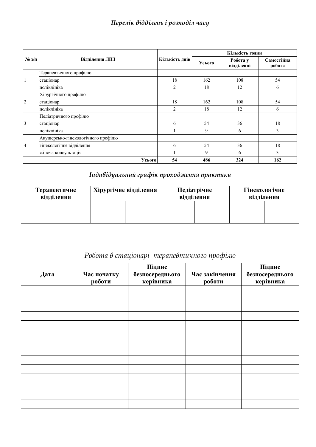|                     |                                    |                | Кількість годин |                        |                      |  |
|---------------------|------------------------------------|----------------|-----------------|------------------------|----------------------|--|
| $N_2 \frac{3}{\pi}$ | Відділення ЛПЗ                     | Кількість днів | Усього          | Робота у<br>відділенні | Самостійна<br>робота |  |
|                     | Терапевтичного профілю             |                |                 |                        |                      |  |
| $\vert$             | стаціонар                          | 18             | 162             | 108                    | 54                   |  |
|                     | поліклініка                        | $\mathfrak{D}$ | 18              | 12                     | 6                    |  |
|                     | Хірургічного профілю               |                |                 |                        |                      |  |
| $\overline{c}$      | стаціонар                          | 18             | 162             | 108                    | 54                   |  |
|                     | поліклініка                        | $\mathfrak{D}$ | 18              | 12                     | 6                    |  |
|                     | Педіатричного профілю              |                |                 |                        |                      |  |
| $\overline{3}$      | стаціонар                          | 6              | 54              | 36                     | 18                   |  |
|                     | поліклініка                        |                | 9               | 6                      | 3                    |  |
|                     | Акушерсько-гінекологічного профілю |                |                 |                        |                      |  |
| 4                   | гінекологічне відділення           | 6              | 54              | 36                     | 18                   |  |
|                     | жіноча консультація                |                | 9               | 6                      | 3                    |  |
|                     | Усього                             | 54             | 486             | 324                    | 162                  |  |

### **Індивідуальний графік проходження практики**

| Педіатрічне<br>Хірургічне відділення<br>Терапевтичне<br>відділення<br>відділення |  | відділення | Гінекологічне |  |  |
|----------------------------------------------------------------------------------|--|------------|---------------|--|--|
|                                                                                  |  |            |               |  |  |

## Робота в стаціонарі терапевтичного профілю

| Дата | Час початку<br>роботи | Підпис<br>безпосереднього<br>керівника | Час закінчення<br>роботи | Підпис<br>безпосереднього<br>керівника |
|------|-----------------------|----------------------------------------|--------------------------|----------------------------------------|
|      |                       |                                        |                          |                                        |
|      |                       |                                        |                          |                                        |
|      |                       |                                        |                          |                                        |
|      |                       |                                        |                          |                                        |
|      |                       |                                        |                          |                                        |
|      |                       |                                        |                          |                                        |
|      |                       |                                        |                          |                                        |
|      |                       |                                        |                          |                                        |
|      |                       |                                        |                          |                                        |
|      |                       |                                        |                          |                                        |
|      |                       |                                        |                          |                                        |
|      |                       |                                        |                          |                                        |
|      |                       |                                        |                          |                                        |
|      |                       |                                        |                          |                                        |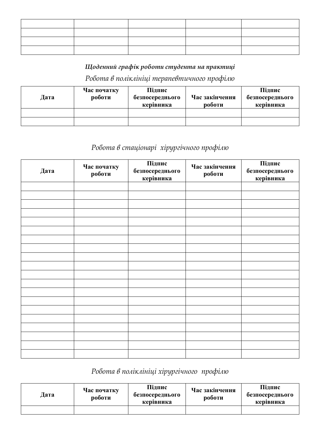#### *ȇȜȒȓțțȖȗȑȞȎȢȳȘȞȜȏȜȠȖȟȠȡȒȓțȠȎțȎȝȞȎȘȠȖȤȳ*

Робота в поліклініці терапевтичного профілю

|      | Час початку | Підпис          |                | Підпис          |
|------|-------------|-----------------|----------------|-----------------|
| Дата | роботи      | безпосереднього | Час закінчення | безпосереднього |
|      |             | керівника       | роботи         | керівника       |
|      |             |                 |                |                 |
|      |             |                 |                |                 |

## Робота в стаціонарі хірургічного профілю

| Дата | Час початку<br>роботи | Підпис<br>безпосереднього<br>керівника | Час закінчення<br>роботи | Підпис<br>безпосереднього<br>керівника |
|------|-----------------------|----------------------------------------|--------------------------|----------------------------------------|
|      |                       |                                        |                          |                                        |
|      |                       |                                        |                          |                                        |
|      |                       |                                        |                          |                                        |
|      |                       |                                        |                          |                                        |
|      |                       |                                        |                          |                                        |
|      |                       |                                        |                          |                                        |
|      |                       |                                        |                          |                                        |
|      |                       |                                        |                          |                                        |
|      |                       |                                        |                          |                                        |
|      |                       |                                        |                          |                                        |
|      |                       |                                        |                          |                                        |
|      |                       |                                        |                          |                                        |
|      |                       |                                        |                          |                                        |
|      |                       |                                        |                          |                                        |
|      |                       |                                        |                          |                                        |
|      |                       |                                        |                          |                                        |
|      |                       |                                        |                          |                                        |
|      |                       |                                        |                          |                                        |
|      |                       |                                        |                          |                                        |
|      |                       |                                        |                          |                                        |

## Робота в поліклініці хірургічного профілю

| Дата | Час початку<br>роботи | Підпис<br>безпосереднього<br>керівника | Час закінчення<br>роботи | Підпис<br>безпосереднього<br>керівника |
|------|-----------------------|----------------------------------------|--------------------------|----------------------------------------|
|      |                       |                                        |                          |                                        |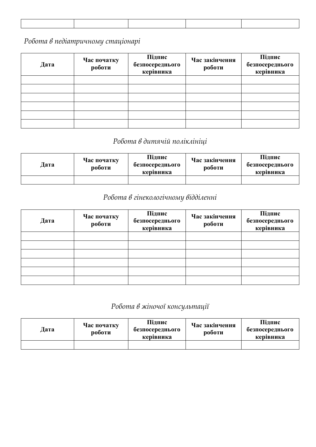Робота в педіатричному стаціонарі

| Дата | Час початку<br>роботи | Підпис<br>безпосереднього<br>керівника | Час закінчення<br>роботи | Підпис<br>безпосереднього<br>керівника |
|------|-----------------------|----------------------------------------|--------------------------|----------------------------------------|
|      |                       |                                        |                          |                                        |
|      |                       |                                        |                          |                                        |
|      |                       |                                        |                          |                                        |
|      |                       |                                        |                          |                                        |
|      |                       |                                        |                          |                                        |
|      |                       |                                        |                          |                                        |

## Робота в дитячій поліклініці

| Дата | Час початку<br>роботи | Підпис<br>безпосереднього<br>керівника | Час закінчення<br>роботи | Підпис<br>безпосереднього<br>керівника |
|------|-----------------------|----------------------------------------|--------------------------|----------------------------------------|
|      |                       |                                        |                          |                                        |

## Робота в гінекологічному відділенні

| Дата | Час початку<br>роботи | Підпис<br>безпосереднього<br>керівника | Час закінчення<br>роботи | Підпис<br>безпосереднього<br>керівника |
|------|-----------------------|----------------------------------------|--------------------------|----------------------------------------|
|      |                       |                                        |                          |                                        |
|      |                       |                                        |                          |                                        |
|      |                       |                                        |                          |                                        |
|      |                       |                                        |                          |                                        |
|      |                       |                                        |                          |                                        |
|      |                       |                                        |                          |                                        |

## Робота в жіночої консультації

| Дата | Час початку<br>роботи | Підпис<br>безпосереднього<br>керівника | Час закінчення<br>роботи | Підпис<br>безпосереднього<br>керівника |
|------|-----------------------|----------------------------------------|--------------------------|----------------------------------------|
|      |                       |                                        |                          |                                        |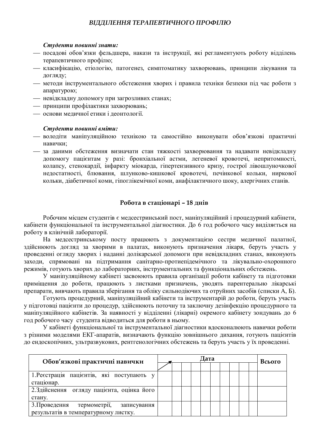#### ВІДДІЛЕННЯ ТЕРАПЕВТИЧНОГО ПРОФІЛЮ

#### $C$ *m*уденти повинні знати:

- посадові обов'язки фельдшера, накази та інструкції, які регламентують роботу відділень терапевтичного профілю;
- класифікацію, етіологію, патогенез, симптоматику захворювань, принципи лікування та догляду;
- методи інструментального обстеження хворих і правила техніки безпеки під час роботи з апаратурою:
- невідкладну допомогу при загрозливих станах;
- принципи профілактики захворювань:
- основи меличної етики і леонтології.

#### $C$ *m*уденти повинні вміти:

- володіти маніпуляційною технікою та самостійно виконувати обов'язкові практичні навички:
- за даними обстеження визначати стан тяжкості захворювання та надавати невідкладну допомогу пацієнтам у разі: бронхіальної астми, легеневої кровотечі, непритомності, колапсу, стенокардії, інфаркту міокарда, гіпертензивного кризу, гострої лівошлуночкової недостатності, блювання, шлунково-кишкової кровотечі, печінкової кольки, ниркової кольки, діабетичної коми, гіпоглікемічної коми, анафілактичного шоку, алергічних станів.

#### Робота в стаціонарі - 18 днів

Робочим місцем студентів є медсестринський пост, маніпуляційний і процедурний кабінети, кабінети функціональної та інструментальної діагностики. До 6 год робочого часу виділяється на роботу в клінічній лабораторії.

На медсестринському посту працюють з документацією сестри медичної палатної, здійснюють догляд за хворими в палатах, виконують призначення лікаря, беруть участь у проведенні огляду хворих і наданні долікарської допомоги при невідкладних станах, виконують заходи, спрямовані на підтримання санітарно-протиепідемічного та лікувально-охоронного режимів, готують хворих до лабораторних, інструментальних та функціональних обстежень.

У маніпуляційному кабінеті засвоюють правила організації роботи кабінету та підготовки приміщення до роботи, працюють з листками призначень, уводять парентерально лікарські препарати, вивчають правила зберігання та обліку сильнодіючих та отруйних засобів (списки А, Б).

Готують процедурний, маніпуляційний кабінети та інструментарій до роботи, беруть участь у підготовці пацієнти до процедур, здійснюють поточну та заключну дезінфекцію процедурного та маніпуляційного кабінетів. За наявності у відділенні (лікарні) окремого кабінету зондувань до 6 год робочого часу студента відводиться для роботи в ньому.

У кабінеті функціональної та інструментальної діагностики вдосконалюють навички роботи з різними моделями ЕКГ-апаратів, визначають функцію зовнішнього дихання, готують пацієнтів до ендоскопічних, ультразвукових, рентгенологічних обстежень та беруть участь у їх проведенні.

| Обов'язкові практичні навички              |  | Дата |  |  |  |  |  |  |  |  | Всього |
|--------------------------------------------|--|------|--|--|--|--|--|--|--|--|--------|
|                                            |  |      |  |  |  |  |  |  |  |  |        |
| 1. Ресстрація пацієнтів, які поступають у  |  |      |  |  |  |  |  |  |  |  |        |
| стационар.                                 |  |      |  |  |  |  |  |  |  |  |        |
| 2. Здійснення огляду пацієнта, оцінка його |  |      |  |  |  |  |  |  |  |  |        |
| стану.                                     |  |      |  |  |  |  |  |  |  |  |        |
| 3. Проведення термометрії,<br>записування  |  |      |  |  |  |  |  |  |  |  |        |
| результатів в температурному листку.       |  |      |  |  |  |  |  |  |  |  |        |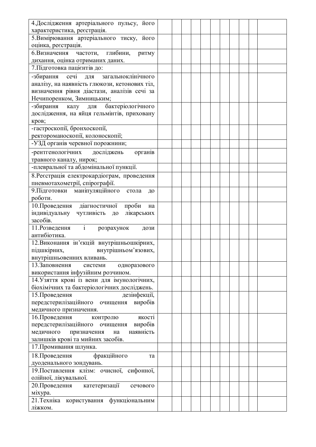| 4. Дослідження артеріального пульсу, його       |  |  |  |  |  |  |
|-------------------------------------------------|--|--|--|--|--|--|
| характеристика, реєстрація.                     |  |  |  |  |  |  |
| 5. Вимірювання артеріального тиску, його        |  |  |  |  |  |  |
| оцінка, реєстрація.                             |  |  |  |  |  |  |
| 6.Визначення<br>глибини,<br>частоти,<br>ритму   |  |  |  |  |  |  |
| дихання, оцінка отриманих даних.                |  |  |  |  |  |  |
| 7. Підготовка пацієнтів до:                     |  |  |  |  |  |  |
| загальноклінічного<br>сечі<br>-збирання<br>ДЛЯ  |  |  |  |  |  |  |
| аналізу, на наявність глюкози, кетонових тіл,   |  |  |  |  |  |  |
| визначення рівня діастази, аналізів сечі за     |  |  |  |  |  |  |
| Нечипоренком, Зимницьким;                       |  |  |  |  |  |  |
| -збирання<br>бактеріологічного<br>калу<br>для   |  |  |  |  |  |  |
| дослідження, на яйця гельмінтів, приховану      |  |  |  |  |  |  |
| кров;                                           |  |  |  |  |  |  |
| -гастроскопії, бронхоскопії,                    |  |  |  |  |  |  |
| ректороманоскопії, колоноскопії;                |  |  |  |  |  |  |
| -УЗД органів черевної порожнини;                |  |  |  |  |  |  |
| досліджень<br>-рентгенологічних<br>органів      |  |  |  |  |  |  |
| травного каналу, нирок;                         |  |  |  |  |  |  |
| -плевральної та абдомінальної пункції.          |  |  |  |  |  |  |
| 8. Ресстрація електрокардіограм, проведення     |  |  |  |  |  |  |
| пневмотахометрії, спірографії.                  |  |  |  |  |  |  |
| 9.Підготовки<br>маніпуляційного<br>стола<br>ДО  |  |  |  |  |  |  |
| роботи.                                         |  |  |  |  |  |  |
| діагностичної проби<br>10. Проведення<br>на     |  |  |  |  |  |  |
| індивідуальну<br>чутливість<br>лікарських<br>ДО |  |  |  |  |  |  |
| засобів.                                        |  |  |  |  |  |  |
| 11. Розведення і<br>розрахунок<br>ДОЗИ          |  |  |  |  |  |  |
| антибіотика.                                    |  |  |  |  |  |  |
| 12. Виконання ін'єкцій внутрішньошкірних,       |  |  |  |  |  |  |
| внутрішньом'язових,<br>підшкірних,              |  |  |  |  |  |  |
| внутрішньовенних вливань.                       |  |  |  |  |  |  |
| 13. Заповнення<br>системи<br>одноразового       |  |  |  |  |  |  |
| використання інфузійним розчином.               |  |  |  |  |  |  |
| 14. Узяття крові із вени для імунологічних,     |  |  |  |  |  |  |
| біохімічних та бактеріологічних досліджень.     |  |  |  |  |  |  |
| 15. Проведення<br>дезінфекції,                  |  |  |  |  |  |  |
| передстерилізаційного очищення виробів          |  |  |  |  |  |  |
| медичного призначення.                          |  |  |  |  |  |  |
| 16. Проведення<br>якості<br>контролю            |  |  |  |  |  |  |
| передстерилізаційного очищення<br>виробів       |  |  |  |  |  |  |
| наявність<br>медичного<br>призначення<br>на     |  |  |  |  |  |  |
| залишків крові та мийних засобів.               |  |  |  |  |  |  |
| 17. Промивання шлунка.                          |  |  |  |  |  |  |
| 18. Проведення<br>фракційного<br>та             |  |  |  |  |  |  |
| дуоденального зондувань.                        |  |  |  |  |  |  |
| 19. Поставлення клізм: очисної, сифонної,       |  |  |  |  |  |  |
| олійної, лікувальної.                           |  |  |  |  |  |  |
| 20. Проведення катетеризації<br>сечового        |  |  |  |  |  |  |
| міхура.                                         |  |  |  |  |  |  |
| 21. Техніка користування функціональним         |  |  |  |  |  |  |
| ліжком.                                         |  |  |  |  |  |  |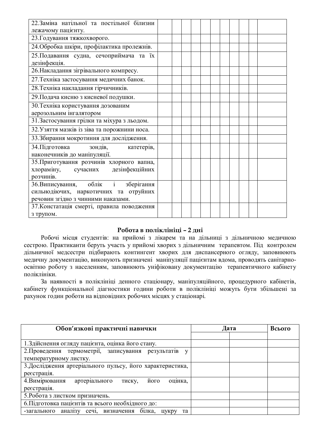| 22. Заміна натільної та постільної білизни                                                                            |  |  |  |  |  |  |
|-----------------------------------------------------------------------------------------------------------------------|--|--|--|--|--|--|
| лежачому пацієнту.                                                                                                    |  |  |  |  |  |  |
| 23. Годування тяжкохворого.                                                                                           |  |  |  |  |  |  |
| 24. Обробка шкіри, профілактика пролежнів.                                                                            |  |  |  |  |  |  |
| 25. Подавання судна, сечоприймача та їх<br>дезінфекція.                                                               |  |  |  |  |  |  |
| 26. Накладання зігрівального компресу.                                                                                |  |  |  |  |  |  |
| 27. Техніка застосування медичних банок.                                                                              |  |  |  |  |  |  |
| 28. Техніка накладання гірчичників.                                                                                   |  |  |  |  |  |  |
| 29. Подача кисню з кисневої подушки.                                                                                  |  |  |  |  |  |  |
| 30. Техніка користування дозованим<br>аерозольним інгалятором                                                         |  |  |  |  |  |  |
| 31. Застосування грілки та міхура з льодом.                                                                           |  |  |  |  |  |  |
| 32. Узяття мазків із зіва та порожнини носа.                                                                          |  |  |  |  |  |  |
| 33. Збирання мокротиння для дослідження.                                                                              |  |  |  |  |  |  |
| 34. Підготовка<br>зондів,<br>катетерів,<br>наконечників до маніпуляції.                                               |  |  |  |  |  |  |
| 35. Приготування розчинів хлорного вапна,<br>хлораміну, сучасних дезінфекційних<br>розчинів.                          |  |  |  |  |  |  |
| 36. Виписування, облік і<br>зберігання<br>сильнодіючих, наркотичних та отруйних<br>речовин згідно з чинними наказами. |  |  |  |  |  |  |
| 37. Констатація смерті, правила поводження<br>з трупом.                                                               |  |  |  |  |  |  |

#### Робота в поліклініці - 2 дні

Робочі місця студентів: на прийомі з лікарем та на дільниці з дільничною медичною сестрою. Практиканти беруть участь у прийомі хворих з дільничним терапевтом. Під контролем дільничної медсестри підбирають контингент хворих для диспансерного огляду, заповнюють медичну документацію, виконують призначені маніпуляції пацієнтам вдома, проводять санітарноосвітню роботу з населенням, заповнюють уніфіковану документацію терапевтичного кабінету поліклініки

За наявності в поліклініці денного стаціонару, маніпуляційного, процедурного кабінетів, кабінету функціональної діагностики години роботи в поліклініці можуть бути збільшені за рахунок годин роботи на відповідних робочих місцях у стаціонарі.

| Обов'язкові практичні навички                                           | Дата | Всього |
|-------------------------------------------------------------------------|------|--------|
|                                                                         |      |        |
| 1. Здійснення огляду пацієнта, оцінка його стану.                       |      |        |
| 2. Проведення термометрії, записування<br>результатів                   |      |        |
| температурному листку.                                                  |      |        |
| 3. Дослідження артеріального пульсу, його характеристика,               |      |        |
| реєстрація.                                                             |      |        |
| його<br>4. Вимірювання<br>артеріального<br>тиску,<br>оцінка,            |      |        |
| реєстрація.                                                             |      |        |
| 5. Робота з листком призначень.                                         |      |        |
| 6. Підготовка пацієнтів та всього необхідного до:                       |      |        |
| білка,<br>аналізу сечі, визначення<br>-загального<br><b>HVKDV</b><br>та |      |        |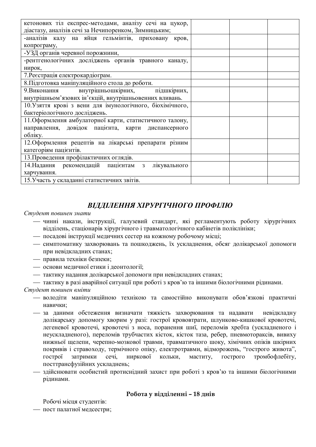| кетонових тіл експрес-методами, аналізу сечі на цукор,    |  |  |
|-----------------------------------------------------------|--|--|
| діастазу, аналізів сечі за Нечипоренком, Зимницьким;      |  |  |
| -аналізів калу на яйця гельмінтів, приховану кров,        |  |  |
| копрограму,                                               |  |  |
| -УЗД органів черевної порожнини,                          |  |  |
| -рентгенологічних досліджень органів травного каналу,     |  |  |
| нирок,                                                    |  |  |
| 7. Ресстрація електрокардіограм.                          |  |  |
| 8. Підготовка маніпуляційного стола до роботи.            |  |  |
| 9. Виконання внутрішньошкірних, підшкірних,               |  |  |
| внутрішньом'язових ін'єкцій, внутрішньовенних вливань.    |  |  |
| 10. Узяття крові з вени для імунологічного, біохімічного, |  |  |
| бактеріологічного досліджень.                             |  |  |
| 11. Оформлення амбулаторної карти, статистичного талону,  |  |  |
| направлення, довідок пацієнта, карти диспансерного        |  |  |
| обліку.                                                   |  |  |
| 12. Оформлення рецептів на лікарські препарати різним     |  |  |
| категоріям пацієнтів.                                     |  |  |
| 13. Проведення профілактичних оглядів.                    |  |  |
| 14. Надання рекомендацій пацієнтам з<br>лікувального      |  |  |
| харчування.                                               |  |  |
| 15. Участь у складанні статистичних звітів.               |  |  |

#### *ȼȱȾȾȱɅȿɇɇəɏȱɊɍɊȽȱɑɇɈȽɈɉɊɈɎȱɅɘ*

#### Студент повинен знати

- чинні накази, інструкції, галузевий стандарт, які регламентують роботу хірургічних відділень, стаціонарів хірургічного і травматологічного кабінетів поліклініки;
- посадові інструкції медичних сестер на кожному робочому місці;
- симптоматику захворювань та пошкоджень, їх ускладнення, обсяг долікарської допомоги при невідкладних станах;
- правила техніки безпеки:
- основи медичної етики і деонтології;
- тактику надання долікарської допомоги при невідкладних станах;
- тактику в разі аварійної ситуації при роботі з кров'ю та іншими біологічними рідинами.

#### Студент повинен вміти

- володіти маніпуляційною технікою та самостійно виконувати обов'язкові практичні навички;
- за даними обстеження визначати тяжкість захворювання та надавати невідкладну долікарську допомогу хворим у разі: гострої крововтрати, шлунково-кишкової кровотечі, легеневої кровотечі, кровотечі з носа, поранення шиї, переломів хребта (ускладненого і неускладненого), переломів трубчастих кісток, кісток таза, ребер, пневмотораксів, вивиху нижньої щелепи, черепно-мозкової травми, травматичного шоку, хімічних опіків шкірних покривів і стравоходу, термічного опіку, електротравми, відморожень, "гострого живота", гострої затримки сечі, ниркової кольки, маститу, гострого тромбофлебіту, посттрансфузійних ускладнень;
- здійснювати особистий протиснідний захист при роботі з кров'ю та іншими біологічними рідинами.

#### Робота у відділенні - 18 днів

Робочі місця студентів:

- пост палатної медсестри;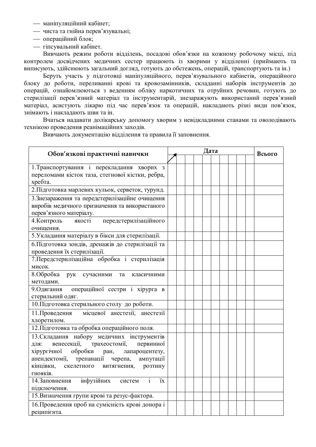- маніпуляційний кабінет;
- чиста та гнійна перев'язувальні;
- операційний блок;
- гіпсувальний кабінет.

Вивчають режим роботи відділень, посадові обов'язки на кожному робочому місці, під контролем досвідчених медичних сестер працюють із хворими у відділенні (приймають та виписують, здійснюють загальний догляд, готують до обстежень, операцій, транспортують та ін.)

Беруть участь у підготовці маніпуляційного, перев'язувального кабінетів, операційного блоку до роботи, переливанні крові та кровозамінників, складанні наборів інструментів до операцій, ознайомлюються з веденням обліку наркотичних та отруйних речовин, готують до стерилізації перев'язний матеріал та інструментарій, знезаражують використаний перев'язний матеріал, асистують лікарю під час перев'язок та операцій, накладають різні види пов'язок, знімають і накладають шви та ін.

Вчаться надавати долікарську допомогу хворим з невідкладними станами та оволодівають технікою проведення реанімаційних заходів.

Вивчають документацію відділення та правила її заповнення.

| Обов'язкові практичні навички                                        |  | Дата |  |  |  |  |  |  |  | Всього |
|----------------------------------------------------------------------|--|------|--|--|--|--|--|--|--|--------|
|                                                                      |  |      |  |  |  |  |  |  |  |        |
| 1. Транспортування і перекладання хворих з                           |  |      |  |  |  |  |  |  |  |        |
| переломами кісток таза, стегнової кістки, ребра,                     |  |      |  |  |  |  |  |  |  |        |
| хребта.                                                              |  |      |  |  |  |  |  |  |  |        |
| 2. Підготовка марлевих кульок, серветок, турунд.                     |  |      |  |  |  |  |  |  |  |        |
| 3. Знезараження та передстерилізаційне очищення                      |  |      |  |  |  |  |  |  |  |        |
| виробів медичного призначення та використаного                       |  |      |  |  |  |  |  |  |  |        |
| перев'язного матеріалу.                                              |  |      |  |  |  |  |  |  |  |        |
| якості передстерилізаційного<br>4. Контроль                          |  |      |  |  |  |  |  |  |  |        |
| очищення.                                                            |  |      |  |  |  |  |  |  |  |        |
| 5. Укладання матеріалу в бікси для стерилізації.                     |  |      |  |  |  |  |  |  |  |        |
| 6. Підготовка зондів, дренажів до стерилізації та                    |  |      |  |  |  |  |  |  |  |        |
| проведення їх стерилізації.                                          |  |      |  |  |  |  |  |  |  |        |
| 7. Передстерилізаційна обробка і стерилізація                        |  |      |  |  |  |  |  |  |  |        |
| мисок.                                                               |  |      |  |  |  |  |  |  |  |        |
| 8.Обробка рук сучасними<br>та<br>класичними                          |  |      |  |  |  |  |  |  |  |        |
| методами.                                                            |  |      |  |  |  |  |  |  |  |        |
| операційної сестри і хірурга в<br>9. Одягання                        |  |      |  |  |  |  |  |  |  |        |
| стерильний одяг.                                                     |  |      |  |  |  |  |  |  |  |        |
| 10. Підготовка стерильного столу до роботи.                          |  |      |  |  |  |  |  |  |  |        |
| місцевої анестезії, анестезії<br>11. Проведення                      |  |      |  |  |  |  |  |  |  |        |
| хлоретилом.                                                          |  |      |  |  |  |  |  |  |  |        |
| 12. Підготовка та обробка операційного поля.                         |  |      |  |  |  |  |  |  |  |        |
| 13. Складання набору медичних інструментів                           |  |      |  |  |  |  |  |  |  |        |
| венесекції, трахеостомії,<br>первинної<br>ДЛЯ:                       |  |      |  |  |  |  |  |  |  |        |
| хірургічної обробки ран,<br>лапароцентезу,                           |  |      |  |  |  |  |  |  |  |        |
| апендектомії, трепанації черепа, ампутації                           |  |      |  |  |  |  |  |  |  |        |
| кінцівки, скелетного витягнення, розтину                             |  |      |  |  |  |  |  |  |  |        |
| гнояків.                                                             |  |      |  |  |  |  |  |  |  |        |
| інфузійних<br>$\mathbf{i}$<br>14. Заповнення<br>$\ddot{x}$<br>систем |  |      |  |  |  |  |  |  |  |        |
| підключення.                                                         |  |      |  |  |  |  |  |  |  |        |
| 15. Визначення групи крові та резус-фактора.                         |  |      |  |  |  |  |  |  |  |        |
| 16. Проведення проб на сумісність крові донора і                     |  |      |  |  |  |  |  |  |  |        |
| реципієнта.                                                          |  |      |  |  |  |  |  |  |  |        |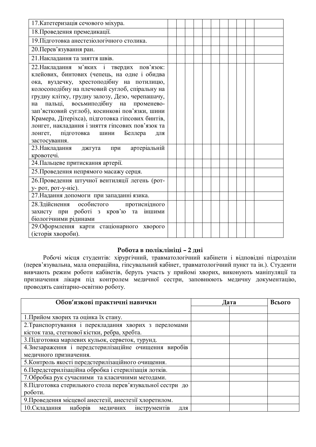| 17. Катетеризація сечового міхура.                                                                                                                                                                                                                                                                                                                                                                                                                                                                               |  |  |  |  |  |  |
|------------------------------------------------------------------------------------------------------------------------------------------------------------------------------------------------------------------------------------------------------------------------------------------------------------------------------------------------------------------------------------------------------------------------------------------------------------------------------------------------------------------|--|--|--|--|--|--|
| 18. Проведення премедикації.                                                                                                                                                                                                                                                                                                                                                                                                                                                                                     |  |  |  |  |  |  |
| 19. Підготовка анестезіологічного столика.                                                                                                                                                                                                                                                                                                                                                                                                                                                                       |  |  |  |  |  |  |
| 20. Перев'язування ран.                                                                                                                                                                                                                                                                                                                                                                                                                                                                                          |  |  |  |  |  |  |
| 21. Накладання та зняття швів.                                                                                                                                                                                                                                                                                                                                                                                                                                                                                   |  |  |  |  |  |  |
| 22. Накладання м'яких і твердих пов'язок:<br>клейових, бинтових (чепець, на одне і обидва<br>ока, вуздечку, хрестоподібну на потилицю,<br>колосоподібну на плечовий суглоб, спіральну на<br>грудну клітку, грудну залозу, Дезо, черепашачу,<br>пальці, восьмиподібну на променево-<br>на<br>зап'ястковий суглоб), косинкові пов'язки, шини<br>Крамера, Дітеріхса), підготовка гіпсових бинтів,<br>лонгет, накладання і зняття гіпсових пов'язок та<br>лонгет, підготовка шини<br>Беллера<br>ДЛЯ<br>застосування. |  |  |  |  |  |  |
| 23. Накладання джгута при артеріальній<br>кровотечі.                                                                                                                                                                                                                                                                                                                                                                                                                                                             |  |  |  |  |  |  |
| 24. Пальцеве притискання артерії.                                                                                                                                                                                                                                                                                                                                                                                                                                                                                |  |  |  |  |  |  |
| 25. Проведення непрямого масажу серця.                                                                                                                                                                                                                                                                                                                                                                                                                                                                           |  |  |  |  |  |  |
| 26. Проведення штучної вентиляції легень (рот-                                                                                                                                                                                                                                                                                                                                                                                                                                                                   |  |  |  |  |  |  |
| у- рот, рот-у-ніс).                                                                                                                                                                                                                                                                                                                                                                                                                                                                                              |  |  |  |  |  |  |
| 27. Надання допомоги при западанні язика.                                                                                                                                                                                                                                                                                                                                                                                                                                                                        |  |  |  |  |  |  |
| 28. Здійснення особистого протиснідного<br>захисту при роботі з кров'ю та іншими<br>біологічними рідинами                                                                                                                                                                                                                                                                                                                                                                                                        |  |  |  |  |  |  |
| 29. Оформлення карти стаціонарного хворого<br>(історія хвороби).                                                                                                                                                                                                                                                                                                                                                                                                                                                 |  |  |  |  |  |  |

#### Робота в поліклініці - 2 дні

Робочі місця студентів: хірургічний, травматологічний кабінети і відповідні підрозділи (перев'язувальна, мала операційна, гіпсувальний кабінет, травматологічний пункт та ін.). Студенти вивчають режим роботи кабінетів, беруть участь у прийомі хворих, виконують маніпуляції та призначення лікаря під контролем медичної сестри, заповнюють медичну документацію, троводять санітарно-освітню роботу.

| Обов'язкові практичні навички                                      | Дата | Всього |
|--------------------------------------------------------------------|------|--------|
|                                                                    |      |        |
| 1. Прийом хворих та оцінка їх стану.                               |      |        |
| 2. Транспортування і перекладання хворих з переломами              |      |        |
| кісток таза, стегнової кістки, ребра, хребта.                      |      |        |
| 3. Підготовка марлевих кульок, серветок, турунд.                   |      |        |
| 4. Знезараження і передстерилізаційне очищення виробів             |      |        |
| медичного призначення.                                             |      |        |
| 5. Контроль якості передстерилізаційного очищення.                 |      |        |
| 6. Передстерилізаційна обробка і стерилізація лотків.              |      |        |
| 7. Обробка рук сучасними та класичними методами.                   |      |        |
| 8. Підготовка стерильного стола перев'язувальної сестри до         |      |        |
| роботи.                                                            |      |        |
| 9. Проведення місцевої анестезії, анестезії хлоретилом.            |      |        |
| наборів<br>10. Складання<br>медичних<br><b>ІНСТРУМЕНТІВ</b><br>ЛЛЯ |      |        |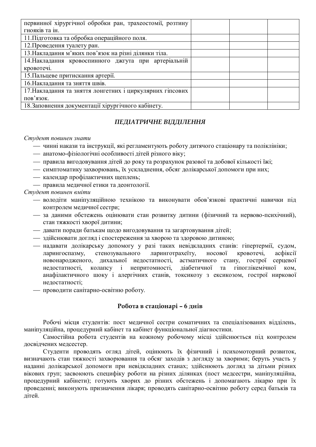| первинної хірургічної обробки ран, трахеостомії, розтину  |  |
|-----------------------------------------------------------|--|
| гнояків та ін.                                            |  |
| 11. Підготовка та обробка операційного поля.              |  |
| 12. Проведення туалету ран.                               |  |
| 13. Накладання м'яких пов'язок на різні ділянки тіла.     |  |
| 14. Накладання кровоспинного джгута при артеріальній      |  |
| кровотечі.                                                |  |
| 15. Пальцеве притискання артерії.                         |  |
| 16. Накладання та зняття швів.                            |  |
| 17. Накладання та зняття лонгетних і циркулярних гіпсових |  |
| пов'язок.                                                 |  |
| 18. Заповнення документації хірургічного кабінету.        |  |

#### ПЕДІАТРИЧНЕ ВІДДІЛЕННЯ

#### Студент повинен знати

- чинні накази та інструкції, які регламентують роботу дитячого стаціонару та поліклініки;
- анатомо-фізіологічні особливості дітей різного віку;
- правила вигодовування дітей до року та розрахунок разової та добової кількості їжі;
- симптоматику захворювань, їх ускладнення, обсяг долікарської допомоги при них;
- календар профілактичних щеплень;
- правила медичної етики та деонтології.

Студент повинен вміти

- володіти маніпуляційною технікою та виконувати обов'язкові практичні навички під контролем медичної сестри;
- за даними обстежень оцінювати стан розвитку дитини (фізичний та нервово-психічний), стан тяжкості хворої дитини;
- давати поради батькам щодо вигодовування та загартовування дітей;
- здійснювати догляд і спостереження за хворою та здоровою дитиною;
- надавати долікарську допомогу у разі таких невідкладних станів: гіпертермії, судом, ларингоспазму, стенозувального ларинготрахеїту, носової кровотечі, асфіксії новонародженого, дихальної недостатності, астматичного стану, гострої серцевої недостатності, колапсу і непритомності, діабетичної та гіпоглікемічної ком, анафілактичного шоку і алергічних станів, токсикозу з ексикозом, гострої ниркової недостатності;
- проводити санітарно-освітню роботу.

#### Робота в стаціонарі - 6 днів

Робочі місця студентів: пост медичної сестри соматичних та спеціалізованих відділень, маніпуляційна, процедурний кабінет та кабінет функціональної діагностики.

Самостійна робота студентів на кожному робочому місці здійснюється під контролем досвідчених медсестер.

Студенти проводять огляд дітей, оцінюють їх фізичний і психомоторний розвиток, визначають стан тяжкості захворювання та обсяг заходів з догляду за хворими; беруть участь у наданні долікарської допомоги при невідкладних станах; здійснюють догляд за дітьми різних вікових груп; засвоюють специфіку роботи на різних ділянках (пост медсестри, маніпуляційна, процедурний кабінети); готують хворих до різних обстежень і допомагають лікарю при їх проведенні; виконують призначення лікаря; проводять санітарно-освітню роботу серед батьків та літей.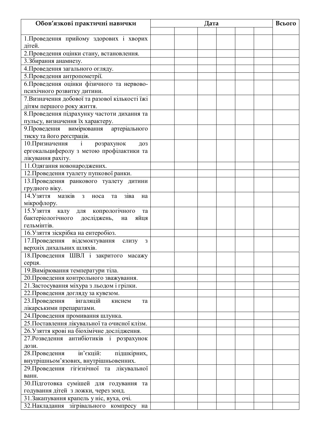| Обов'язкові практичні навички                  | Дата | Всього |
|------------------------------------------------|------|--------|
|                                                |      |        |
| 1. Проведення прийому здорових і хворих        |      |        |
| дітей.                                         |      |        |
| 2. Проведення оцінки стану, встановлення.      |      |        |
| 3.3бирання анамнезу.                           |      |        |
| 4. Проведення загального огляду.               |      |        |
| 5. Проведення антропометрії.                   |      |        |
| 6. Проведення оцінки фізичного та нервово-     |      |        |
| психічного розвитку дитини.                    |      |        |
| 7. Визначення добової та разової кількості їжі |      |        |
| дітям першого року життя.                      |      |        |
| 8. Проведення підрахунку частоти дихання та    |      |        |
| пульсу, визначення їх характеру.               |      |        |
| 9. Проведення вимірювання артеріального        |      |        |
| тиску та його реєстрація.                      |      |        |
| 10. Призначення і розрахунок<br>ДОЗ            |      |        |
| ергокальциферолу з метою профілактики та       |      |        |
| лікування рахіту.                              |      |        |
| 11. Одягання новонароджених.                   |      |        |
| 12. Проведення туалету пупкової ранки.         |      |        |
| 13. Проведення ранкового туалету дитини        |      |        |
| грудного віку.                                 |      |        |
| 14. Узяття мазків з носа<br>зіва<br>та<br>на   |      |        |
| мікрофлору.                                    |      |        |
| 15. Узяття калу для копрологічного<br>та       |      |        |
| бактеріологічного досліджень, на<br>яйця       |      |        |
| гельмінтів.                                    |      |        |
| 16. Узяття зіскрібка на ентеробіоз.            |      |        |
| 17. Проведення відсмоктування слизу<br>3       |      |        |
| верхніх дихальних шляхів.                      |      |        |
| 18. Проведення ШВЛ і закритого масажу          |      |        |
| серця.                                         |      |        |
| 19. Вимірювання температури тіла.              |      |        |
| 20. Проведення контрольного зважування.        |      |        |
| 21. Застосування міхура з льодом і грілки.     |      |        |
| 22. Проведення догляду за кувезом.             |      |        |
| інгаляцій<br>23. Проведення<br>киснем<br>та    |      |        |
| лікарськими препаратами.                       |      |        |
| 24. Проведення промивання шлунка.              |      |        |
| 25. Поставлення лікувальної та очисної клізм.  |      |        |
| 26. Узяття крові на біохімічне дослідження.    |      |        |
| 27. Розведення антибіотиків і розрахунок       |      |        |
| дози.                                          |      |        |
| ін'єкцій:<br>28. Проведення<br>підшкірних,     |      |        |
| внутрішньом'язових, внутрішньовенних.          |      |        |
| 29. Проведення гігієнічної та лікувальної      |      |        |
| ванн.                                          |      |        |
| 30. Підготовка сумішей для годування та        |      |        |
| годування дітей з ложки, через зонд.           |      |        |
| 31. Закапування крапель у ніс, вуха, очі.      |      |        |
| 32. Накладання зігрівального компресу на       |      |        |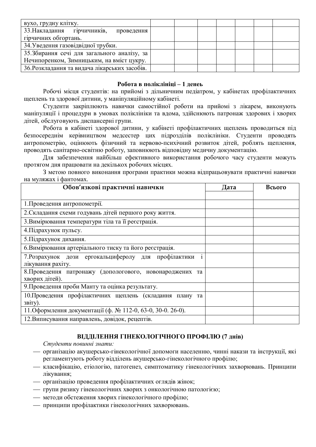| вухо, грудну клітку.                          |  |  |  |  |
|-----------------------------------------------|--|--|--|--|
| 33. Накладання гірчичників,<br>проведення     |  |  |  |  |
| гірчичних обгортань.                          |  |  |  |  |
| 34. Уведення газовідвідної трубки.            |  |  |  |  |
| 35. Збирання сечі для загального аналізу, за  |  |  |  |  |
| Нечипоренком, Зимницьким, на вміст цукру.     |  |  |  |  |
| 36. Розкладання та видача лікарських засобів. |  |  |  |  |

#### Робота в поліклініці – 1 денеь

Робочі місця студентів: на прийомі з дільничним педіатром, у кабінетах профілактичних щеплень та здорової дитини, у маніпуляційному кабінеті.

Студенти закріплюють навички самостійної роботи на прийомі з лікарем, виконують маніпуляції і процелури в умовах поліклініки та влома, злійснюють патронаж злорових і хворих дітей, обслуговують диспансерні групи.

Робота в кабінеті здорової дитини, у кабінеті профілактичних щеплень проводиться під безпосереднім керівництвом медсестер цих підрозділів поліклініки. Студенти проводять антропометрію, оцінюють фізичний та нервово-психічний розвиток дітей, роблять щеплення, проводять санітарно-освітню роботу, заповнюють відповідну медичну документацію.

Для забезпечення найбільш ефективного використання робочого часу студенти можуть протягом дня працювати на декількох робочих місцях.

З метою повного виконання програми практики можна відпрацьовувати практичні навички на муляжах і фантомах.

| Обов'язкові практичні навички                                              | Дата | Всього |
|----------------------------------------------------------------------------|------|--------|
|                                                                            |      |        |
| 1. Проведення антропометрії.                                               |      |        |
| 2. Складання схеми годувань дітей першого року життя.                      |      |        |
| 3. Вимірювання температури тіла та її реєстрація.                          |      |        |
| 4. Підрахунок пульсу.                                                      |      |        |
| 5. Підрахунок дихання.                                                     |      |        |
| 6. Вимірювання артеріального тиску та його реєстрація.                     |      |        |
| 7. Розрахунок дози ергокальциферолу для профілактики<br>лікування рахіту.  |      |        |
| 8. Проведення патронажу (допологового, новонароджених та<br>хворих дітей). |      |        |
| 9. Проведення проби Манту та оцінка результату.                            |      |        |
| 10. Проведення профілактичних щеплень (складання плану та                  |      |        |
| звіту)                                                                     |      |        |
| 11. Оформлення документації (ф. № 112-0, 63-0, 30-0. 26-0).                |      |        |
| 12. Виписування направлень, довідок, рецептів.                             |      |        |

#### **ВІДДІЛЕННЯ ГІНЕКОЛОГІЧНОГО ПРОФІЛЮ (7 днів)**

Студенти повинні знати:

- організацію акушерсько-гінекологічної допомоги населенню, чинні накази та інструкції, які регламентують роботу відділень акушерсько-гінекологічного профілю;
- класифікацію, етіологію, патогенез, симптоматику гінекологічних захворювань. Принципи лікування;
- організацію проведення профілактичних оглядів жінок;
- групи ризику гінекологічних хворих з онкологічною патологією;
- методи обстеження хворих гінекологічного профілю;
- принципи профілактики гінекологічних захворювань.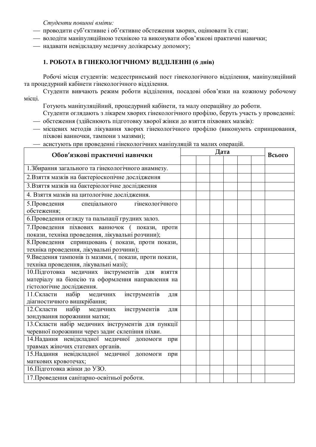Студенти повинні вміти:

- проводити суб'єктивне і об'єктивне обстеження хворих, оцінювати їх стан;
- володіти маніпуляційною технікою та виконувати обов'язкові практичні навички:
- надавати невідкладну медичну долікарську допомогу;

#### 1. РОБОТА В ГІНЕКОЛОГІЧНОМУ ВІДДІЛЕННІ (6 днів)

Робочі місця студентів: медсестринський пост гінекологічного відділення, маніпуляційний та процедурний кабінети гінекологічного відділення.

Студенти вивчають режим роботи відділення, посадові обов'язки на кожному робочому місці.

- Готують маніпуляційний, процедурний кабінети, та малу операційну до роботи.
- Студенти оглядають з лікарем хворих гінекологічного профілю, беруть участь у проведенні: — обстеження (здійснюють підготовку хворої жінки до взяття піхвових мазків):
- місцевих методів лікування хворих гінекологічного профілю (виконують спринцювання, піхвові ванночки, тампони з мазями);

| Обов'язкові практичні навички                             | Дата |  |  |  | Всього |
|-----------------------------------------------------------|------|--|--|--|--------|
|                                                           |      |  |  |  |        |
| 1. Збирання загального та гінекологічного анамнезу.       |      |  |  |  |        |
| 2. Взяття мазків на бактеріоскопічне дослідження          |      |  |  |  |        |
| 3. Взяття мазків на бактеріологічне дослідження           |      |  |  |  |        |
| 4. Взяття мазків на цитологічне дослідження.              |      |  |  |  |        |
| 5. Проведення<br>спеціального<br>гінекологічного          |      |  |  |  |        |
| обстеження;                                               |      |  |  |  |        |
| 6. Проведення огляду та пальпації грудних залоз.          |      |  |  |  |        |
| 7. Проведення піхвових ванночок (покази, проти            |      |  |  |  |        |
| покази, техніка проведення, лікувальні розчини);          |      |  |  |  |        |
| 8. Проведення спринцювань (покази, проти покази,          |      |  |  |  |        |
| техніка проведення, лікувальні розчини);                  |      |  |  |  |        |
| 9. Введення тампонів із мазями, (покази, проти покази,    |      |  |  |  |        |
| техніка проведення, лікувальні мазі);                     |      |  |  |  |        |
| 10. Підготовка медичних інструментів для<br><b>B3ATTR</b> |      |  |  |  |        |
| матеріалу на біопсію та оформлення направлення на         |      |  |  |  |        |
| гістологічне дослідження.                                 |      |  |  |  |        |
| 11. Скласти набір<br>медичних<br>інструментів<br>ДЛЯ      |      |  |  |  |        |
| діагностичного вишкрібання;                               |      |  |  |  |        |
| медичних інструментів<br>набір<br>12. Скласти<br>ДЛЯ      |      |  |  |  |        |
| зондування порожнини матки;                               |      |  |  |  |        |
| 13. Скласти набір медичних інструментів для пункції       |      |  |  |  |        |
| черевної порожнини через заднє склепіння піхви.           |      |  |  |  |        |
| 14. Надання невідкладної медичної допомоги при            |      |  |  |  |        |
| травмах жіночих статевих органів.                         |      |  |  |  |        |
| 15. Надання невідкладної медичної допомоги<br>при         |      |  |  |  |        |
| маткових кровотечах;                                      |      |  |  |  |        |
| 16. Підготовка жінки до УЗО.                              |      |  |  |  |        |
| 17. Проведення санітарно-освітньої роботи.                |      |  |  |  |        |

— асистують при проведенні гінекологічних маніпуляцій та малих операцій.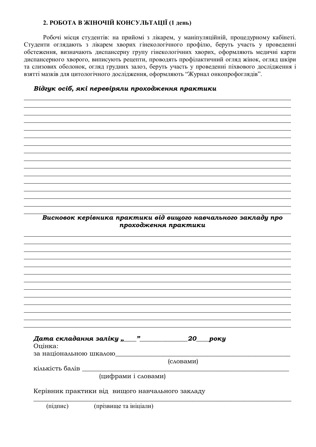#### 2. РОБОТА В ЖІНОЧІЙ КОНСУЛЬТАЦІЇ (1 день)

Робочі місця студентів: на прийомі з лікарем, у маніпуляційній, процедурному кабінеті. Студенти оглядають з лікарем хворих гінекологічного профілю, беруть участь у проведенні обстеження, визначають диспансерну групу гінекологічних хворих, оформляють медичні карти диспансерного хворого, виписують рецепти, проводять профілактичний огляд жінок, огляд шкіри та слизових оболонок, огляд грудних залоз, беруть участь у проведенні піхвового дослідження і взятті мазків для цитологічного дослідження, оформляють "Журнал онкопрофоглядів".

#### $B$ *iдгук* осіб, які перевіряли проходження практики

*ǰȖȟțȜȐȜȘȘȓȞȳȐțȖȘȎȝȞȎȘȠȖȘȖȐȳȒȐȖȧȜȑȜțȎȐȥȎșȪțȜȑȜȕȎȘșȎȒȡȝȞȜ ȝȞȜȣȜȒȔȓțțȭȝȞȎȘȠȖȘȖ*

| 20<br>року                                                                                    |  |  |  |  |  |  |
|-----------------------------------------------------------------------------------------------|--|--|--|--|--|--|
| Оцінка:                                                                                       |  |  |  |  |  |  |
| за національною шкалою                                                                        |  |  |  |  |  |  |
| (словами)                                                                                     |  |  |  |  |  |  |
| кількість балів                                                                               |  |  |  |  |  |  |
| (цифрами і словами)                                                                           |  |  |  |  |  |  |
| $V$ and $\overline{S}$ are a symptoms $\overline{S}$ are a sympano stationary part a sympathy |  |  |  |  |  |  |

Керівник практики від вищого навчального закладу \_\_\_\_\_\_\_\_\_\_\_\_\_\_\_\_\_\_\_\_\_\_\_\_\_\_\_\_\_\_\_\_\_\_\_\_\_\_\_\_\_\_\_\_\_\_\_\_\_\_\_\_\_\_\_\_\_\_\_\_\_\_\_\_\_\_\_\_\_\_\_\_\_\_\_\_\_\_\_\_\_

(підпис) (прізвище та ініціали)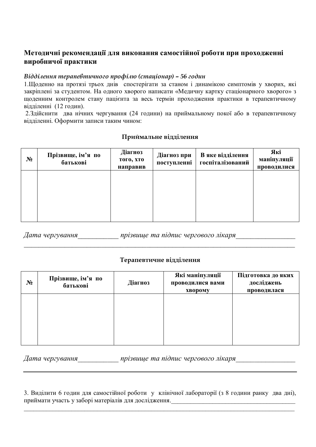#### Методичні рекомендації для виконання самостійної роботи при проходженні **виробничої практики**

#### $Bid$ ∂*йлення терапевтичного профілю (стаціонар) – 56 годин*

1.Щоденно на протязі трьох днів спостерігати за станом і динамікою симптомів у хворих, які закріплені за студентом. На одного хворого написати «Медичну картку стаціонарного хворого» з щоденним контролем стану пацієнта за весь термін проходження практики в терапевтичному відділенні (12 годин).

2. Здійснити два нічних чергування (24 години) на приймальному покої або в терапевтичному відділенні. Оформити записи таким чином:

| $N_2$ | Прізвище, ім'я по<br>батькові | Діагноз<br>того, хто<br>направив | Діагноз при<br>поступленні | В яке відділення<br>госпіталізований | Які<br>маніпуляції<br>проводилися |
|-------|-------------------------------|----------------------------------|----------------------------|--------------------------------------|-----------------------------------|
|       |                               |                                  |                            |                                      |                                   |
|       |                               |                                  |                            |                                      |                                   |
|       |                               |                                  |                            |                                      |                                   |

#### Приймальне відділення

Дата чергування *прізвише та підпис чергового лікаря* 

#### Терапевтичне відділення

 $\mathcal{L}_\mathcal{L} = \mathcal{L}_\mathcal{L} = \mathcal{L}_\mathcal{L} = \mathcal{L}_\mathcal{L} = \mathcal{L}_\mathcal{L} = \mathcal{L}_\mathcal{L} = \mathcal{L}_\mathcal{L} = \mathcal{L}_\mathcal{L} = \mathcal{L}_\mathcal{L} = \mathcal{L}_\mathcal{L} = \mathcal{L}_\mathcal{L} = \mathcal{L}_\mathcal{L} = \mathcal{L}_\mathcal{L} = \mathcal{L}_\mathcal{L} = \mathcal{L}_\mathcal{L} = \mathcal{L}_\mathcal{L} = \mathcal{L}_\mathcal{L}$ 

| $N_2$ | Прізвище, ім'я по<br>батькові | Діагноз | Які маніпуляції<br>проводилися вами<br><b>XBODOMV</b> | Підготовка до яких<br>досліджень<br>проводилася |
|-------|-------------------------------|---------|-------------------------------------------------------|-------------------------------------------------|
|       |                               |         |                                                       |                                                 |
|       |                               |         |                                                       |                                                 |
|       |                               |         |                                                       |                                                 |

Дата чергування **илета** прізвище та підпис чергового лікаря

3. Виділити 6 годин для самостійної роботи у клінічної лабораторії (з 8 години ранку два дні), приймати участь у заборі матеріалів для дослідження.

 $\_$  , and the contribution of the contribution of the contribution of the contribution of  $\mathcal{L}_\text{max}$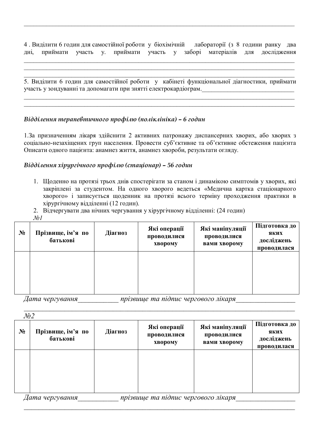4 . Виділити 6 годин для самостійної роботи у біохімічній лабораторії (з 8 години ранку два дні, приймати участь у шриймати участь у заборі матеріалів для дослідження

 $\_$  , and the contribution of the contribution of the contribution of the contribution of  $\mathcal{L}_\text{max}$  $\_$  , and the contribution of the contribution of the contribution of the contribution of  $\mathcal{L}_\text{max}$  $\_$  , and the contribution of the contribution of the contribution of the contribution of  $\mathcal{L}_\text{max}$ 

 $\_$  , and the contribution of the contribution of the contribution of the contribution of  $\mathcal{L}_\text{max}$ 

5. Виділити 6 годин для самостійної роботи у кабінеті функціональної діагностики, приймати участь у зондуванні та допомагати при знятті електрокардіограм.

 $\_$  , and the contribution of the contribution of the contribution of the contribution of  $\mathcal{L}_\text{max}$  $\_$  , and the contribution of the contribution of the contribution of the contribution of  $\mathcal{L}_\text{max}$ 

#### *ǰȳȒȒȳșȓțțȭȠȓȞȎȝȓȐȠȖȥțȜȑȜȝȞȜȢȳșȬ (ȝȜșȳȘșȳțȳȘȎ) – 6 ȑȜȒȖț*

1. За призначенням лікаря здійснити 2 активних патронажу диспансерних хворих, або хворих з соціально-незахіщених груп населення. Провести суб'єктивне та об'єктивне обстеження пацієнта Описати одного пацієнта: анамнез життя, анамнез хвороби, результати огляду.

#### $Bid\delta$ *iлення хірургічного профілю (стаціонар) – 56 годин*

- 1. Щоденно на протязі трьох днів спостерігати за станом і динамікою симптомів у хворих, які закріплені за студентом. На одного хворого ведеться «Медична картка стаціонарного хворого» і записується щоденник на протязі всього терміну проходження практики в хірургічному відділенні (12 годин).
- 2. Відчергувати два нічних чергування у хірургічному відділенні: (24 годин) *ʋ1*

| $N_2$ | Прізвище, ім'я по<br>батькові | Діагноз | Які операції<br>проводилися<br>хворому | Які маніпуляції<br>проводилися<br>вами хворому | Підготовка до<br>яких<br>досліджень<br>проводилася |
|-------|-------------------------------|---------|----------------------------------------|------------------------------------------------|----------------------------------------------------|
|       |                               |         |                                        |                                                |                                                    |

Дата чергування **илетара** прізвище та підпис чергового лікаря

| $\mathcal{N}$ 2<br>$N_2$ | Прізвище, ім'я по<br>батькові | Діагноз | Які операції<br>проводилися<br>хворому | Які маніпуляції<br>проводилися<br>вами хворому | Підготовка до<br>яких<br>досліджень<br>проводилася |
|--------------------------|-------------------------------|---------|----------------------------------------|------------------------------------------------|----------------------------------------------------|
|                          |                               |         |                                        |                                                |                                                    |
|                          | Дата чергування               |         | прізвище та підпис чергового лікаря    |                                                |                                                    |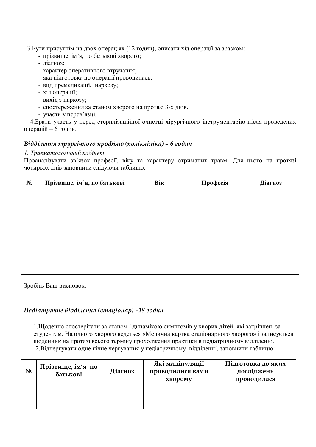3. Бути присутнім на двох операціях (12 годин), описати хід операції за зразком:

- прізвише, ім'я, по батькові хворого;
- діагноз;
- характер оперативного втручання;
- яка підготовка до операції проводилась;
- вид премедикації, наркозу;
- хід операції;
- вихід з наркозу;
- спостереження за станом хворого на протязі 3-х днів.
- vyactb v neper's ali.

4. Брати участь у перед стерилізаційної очистці хірургічного інструментарію після проведених операцій – 6 годин.

#### $B$ *i* $d$ д*iлення хірургічного профілю (поліклініка)* – 6 *годин*

#### $I.$  *Травматологічний кабінет*

Проаналізувати зв'язок професії, віку та характеру отриманих травм. Для цього на протязі чотирьох днів заповнити слідуючи таблицю:

| $N_2$ | Прізвище, ім'я, по батькові | Вік | Професія | Діагноз |
|-------|-----------------------------|-----|----------|---------|
|       |                             |     |          |         |
|       |                             |     |          |         |
|       |                             |     |          |         |
|       |                             |     |          |         |
|       |                             |     |          |         |
|       |                             |     |          |         |
|       |                             |     |          |         |
|       |                             |     |          |         |
|       |                             |     |          |         |
|       |                             |     |          |         |
|       |                             |     |          |         |

Зробіть Ваш висновок:

#### $\Pi$ едіатричне відділення (стаціонар) −18 годин

1.Щоденно спостерігати за станом і динамікою симптомів у хворих дітей, які закріплені за студентом. На одного хворого ведеться «Медична картка стаціонарного хворого» і записується щоденник на протязі всього терміну проходження практики в педіатричному відділенні. 2. Відчергувати одне нічне чергування у педіатричному відділенні, заповнити таблицю:

| N <sub>0</sub> | Прізвище, ім'я по<br>батькові<br>Діагноз |  | Які маніпуляції<br>проводилися вами<br><b>XBODOMV</b> | Підготовка до яких<br>досліджень<br>проводилася |  |  |
|----------------|------------------------------------------|--|-------------------------------------------------------|-------------------------------------------------|--|--|
|                |                                          |  |                                                       |                                                 |  |  |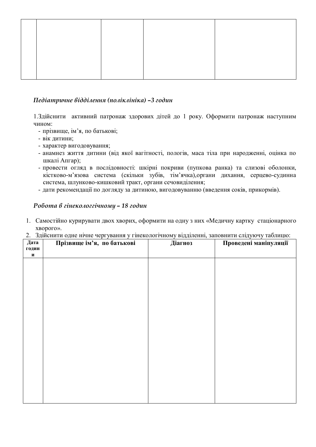#### $\Pi$ едіатричне відділення (поліклініка) –3 годин

1. Здійснити активний патронаж здорових дітей до 1 року. Оформити патронаж наступним чином:

- прізвище, ім'я, по батькові;
- вік дитини;
- характер вигодовування;
- анамнез життя дитини (від якої вагітності, пологів, маса тіла при народженні, оцінка по шкалі Апгар);
- провести огляд в послідовності: шкірні покриви (пупкова ранка) та слизові оболонки, кістково-м'язова система (скільки зубів, тім'ячка), органи дихання, серцево-судинна система, шлунково-кишковий тракт, органи сечовиділення;
- дати рекомендації по догляду за дитиною, вигодовуванню (введення соків, прикормів).

#### Робота в гінекологгічному - 18 годин

1. Самостійно курирувати двох хворих, оформити на одну з них «Медичну картку стаціонарного хворого».

|  |  |  |  | 2. Здійснити одне нічне чергування у гінекологічному відділенні, заповнити слідуючу таблицю: |  |
|--|--|--|--|----------------------------------------------------------------------------------------------|--|
|  |  |  |  |                                                                                              |  |

| Дата                      | Прізвище ім'я, по батькові | Діагноз | Проведені маніпуляції |
|---------------------------|----------------------------|---------|-----------------------|
| годин                     |                            |         |                       |
| $\boldsymbol{\mathrm{M}}$ |                            |         |                       |
|                           |                            |         |                       |
|                           |                            |         |                       |
|                           |                            |         |                       |
|                           |                            |         |                       |
|                           |                            |         |                       |
|                           |                            |         |                       |
|                           |                            |         |                       |
|                           |                            |         |                       |
|                           |                            |         |                       |
|                           |                            |         |                       |
|                           |                            |         |                       |
|                           |                            |         |                       |
|                           |                            |         |                       |
|                           |                            |         |                       |
|                           |                            |         |                       |
|                           |                            |         |                       |
|                           |                            |         |                       |
|                           |                            |         |                       |
|                           |                            |         |                       |
|                           |                            |         |                       |
|                           |                            |         |                       |
|                           |                            |         |                       |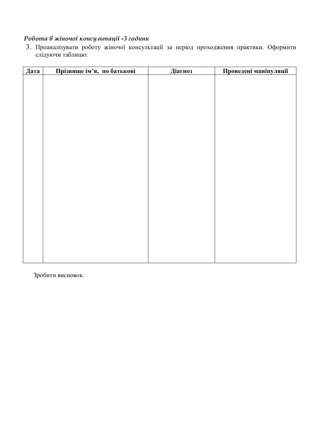#### Робота в жіночої консультації -3 години

3. Проаналізувати роботу жіночої консультації за період проходження практики. Оформити слідуючи таблицю:

| Дата | Прізвище ім'я, по батькові | Діагноз | Проведені маніпуляції |
|------|----------------------------|---------|-----------------------|
|      |                            |         |                       |
|      |                            |         |                       |
|      |                            |         |                       |
|      |                            |         |                       |
|      |                            |         |                       |
|      |                            |         |                       |
|      |                            |         |                       |
|      |                            |         |                       |
|      |                            |         |                       |
|      |                            |         |                       |
|      |                            |         |                       |
|      |                            |         |                       |
|      |                            |         |                       |
|      |                            |         |                       |
|      |                            |         |                       |
|      |                            |         |                       |
|      |                            |         |                       |
|      |                            |         |                       |
|      |                            |         |                       |
|      |                            |         |                       |
|      |                            |         |                       |
|      |                            |         |                       |
|      |                            |         |                       |

Зробити висновок.